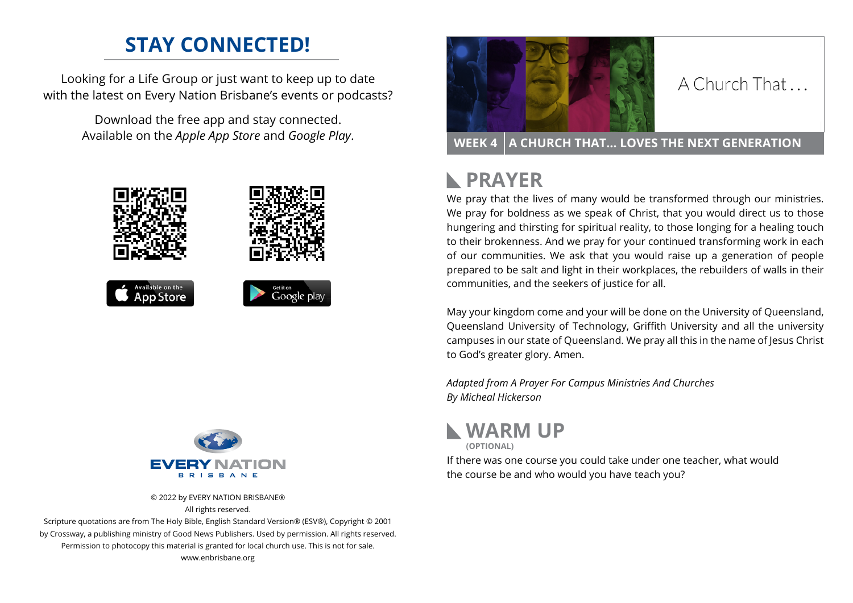## **STAY CONNECTED!**

Looking for a Life Group or just want to keep up to date with the latest on Every Nation Brisbane's events or podcasts?

> Download the free app and stay connected. Available on the *Apple App Store* and *Google Play*.





© 2022 by EVERY NATION BRISBANE® All rights reserved.

Scripture quotations are from The Holy Bible, English Standard Version® (ESV®), Copyright © 2001 by Crossway, a publishing ministry of Good News Publishers. Used by permission. All rights reserved. Permission to photocopy this material is granted for local church use. This is not for sale. www.enbrisbane.org



### A Church That

**WEEK 4 A CHURCH THAT... LOVES THE NEXT GENERATION** 

# **PRAYER**

We pray that the lives of many would be transformed through our ministries. We pray for boldness as we speak of Christ, that you would direct us to those hungering and thirsting for spiritual reality, to those longing for a healing touch to their brokenness. And we pray for your continued transforming work in each of our communities. We ask that you would raise up a generation of people prepared to be salt and light in their workplaces, the rebuilders of walls in their communities, and the seekers of justice for all.

May your kingdom come and your will be done on the University of Queensland, Queensland University of Technology, Griffith University and all the university campuses in our state of Queensland. We pray all this in the name of Jesus Christ to God's greater glory. Amen.

*Adapted from A Prayer For Campus Ministries And Churches By Micheal Hickerson*



**(OPTIONAL)**

If there was one course you could take under one teacher, what would the course be and who would you have teach you?